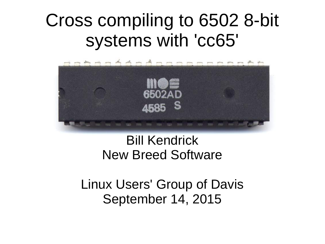### Cross compiling to 6502 8-bit systems with 'cc65'



#### Bill Kendrick New Breed Software

Linux Users' Group of Davis September 14, 2015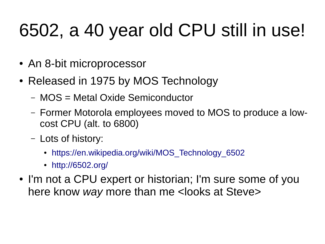# 6502, a 40 year old CPU still in use!

- An 8-bit microprocessor
- Released in 1975 by MOS Technology
	- MOS = Metal Oxide Semiconductor
	- Former Motorola employees moved to MOS to produce a lowcost CPU (alt. to 6800)
	- Lots of history:
		- [https://en.wikipedia.org/wiki/MOS\\_Technology\\_6502](https://en.wikipedia.org/wiki/MOS_Technology_6502)
		- <http://6502.org/>
- I'm not a CPU expert or historian; I'm sure some of you here know *way* more than me <looks at Steve>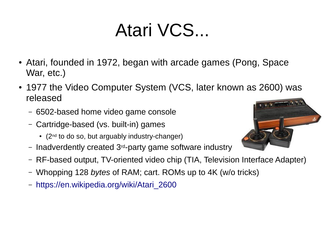## Atari VCS...

- Atari, founded in 1972, began with arcade games (Pong, Space War, etc.)
- 1977 the Video Computer System (VCS, later known as 2600) was released
	- 6502-based home video game console
	- Cartridge-based (vs. built-in) games
		- $\cdot$  (2<sup>nd</sup> to do so, but arguably industry-changer)
	- Inadverdently created 3rd-party game software industry
	- RF-based output, TV-oriented video chip (TIA, Television Interface Adapter)
	- Whopping 128 *bytes* of RAM; cart. ROMs up to 4K (w/o tricks)
	- [https://en.wikipedia.org/wiki/Atari\\_2600](https://en.wikipedia.org/wiki/Atari_2600)

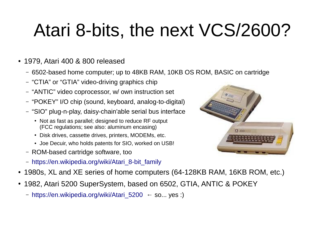# Atari 8-bits, the next VCS/2600?

- 1979, Atari 400 & 800 released
	- 6502-based home computer; up to 48KB RAM, 10KB OS ROM, BASIC on cartridge
	- "CTIA" or "GTIA" video-driving graphics chip
	- "ANTIC" video coprocessor, w/ own instruction set
	- "POKEY" I/O chip (sound, keyboard, analog-to-digital)
	- "SIO" plug-n-play, daisy-chain'able serial bus interface
		- Not as fast as parallel; designed to reduce RF output (FCC regulations; see also: aluminum encasing)
		- Disk drives, cassette drives, printers, MODEMs, etc.
		- Joe Decuir, who holds patents for SIO, worked on USB!
	- ROM-based cartridge software, too
	- [https://en.wikipedia.org/wiki/Atari\\_8-bit\\_family](https://en.wikipedia.org/wiki/Atari_8-bit_family)



- 1980s, XL and XE series of home computers (64-128KB RAM, 16KB ROM, etc.)
- 1982, Atari 5200 SuperSystem, based on 6502, GTIA, ANTIC & POKEY
	- [https://en.wikipedia.org/wiki/Atari\\_5200](https://en.wikipedia.org/wiki/Atari_5200) ← so... yes :)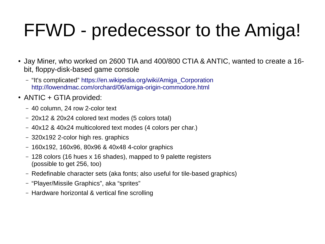# FFWD - predecessor to the Amiga!

- Jay Miner, who worked on 2600 TIA and 400/800 CTIA & ANTIC, wanted to create a 16bit, floppy-disk-based game console
	- "It's complicated" [https://en.wikipedia.org/wiki/Amiga\\_Corporation](https://en.wikipedia.org/wiki/Amiga_Corporation) <http://lowendmac.com/orchard/06/amiga-origin-commodore.html>
- ANTIC + GTIA provided:
	- 40 column, 24 row 2-color text
	- 20x12 & 20x24 colored text modes (5 colors total)
	- 40x12 & 40x24 multicolored text modes (4 colors per char.)
	- 320x192 2-color high res. graphics
	- 160x192, 160x96, 80x96 & 40x48 4-color graphics
	- 128 colors (16 hues x 16 shades), mapped to 9 palette registers (possible to get 256, too)
	- Redefinable character sets (aka fonts; also useful for tile-based graphics)
	- "Player/Missile Graphics", aka "sprites"
	- Hardware horizontal & vertical fine scrolling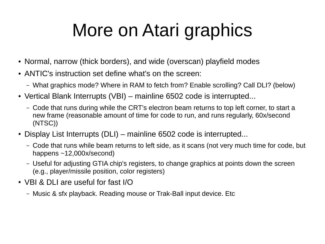# More on Atari graphics

- Normal, narrow (thick borders), and wide (overscan) playfield modes
- ANTIC's instruction set define what's on the screen:
	- What graphics mode? Where in RAM to fetch from? Enable scrolling? Call DLI? (below)
- Vertical Blank Interrupts (VBI) mainline 6502 code is interrupted...
	- Code that runs during while the CRT's electron beam returns to top left corner, to start a new frame (reasonable amount of time for code to run, and runs regularly, 60x/second (NTSC))
- Display List Interrupts (DLI) mainline 6502 code is interrupted...
	- Code that runs while beam returns to left side, as it scans (not very much time for code, but happens ~12,000x/second)
	- Useful for adjusting GTIA chip's registers, to change graphics at points down the screen (e.g., player/missile position, color registers)
- VBI & DLI are useful for fast I/O
	- Music & sfx playback. Reading mouse or Trak-Ball input device. Etc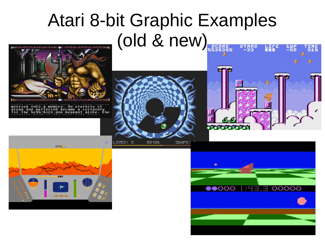#### Atari 8-bit Graphic Examples (old & new)១០០៥ច្រាប់លេ<mark>ចច្រាប់</mark>លុចចម្រុង



uorries ontu a memoru. An eteriritu of<br>oreao ano suffering became a certainty<br>for the high-born ano peasant atike. The



IVES: 5 00106 **JUMPS:** 



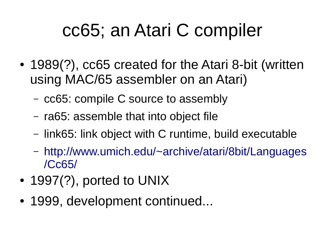## cc65; an Atari C compiler

- 1989(?), cc65 created for the Atari 8-bit (written using MAC/65 assembler on an Atari)
	- cc65: compile C source to assembly
	- ra65: assemble that into object file
	- link65: link object with C runtime, build executable
	- [http://www.umich.edu/~archive/atari/8bit/Languages](http://www.umich.edu/~archive/atari/8bit/Languages/Cc65/) [/Cc65/](http://www.umich.edu/~archive/atari/8bit/Languages/Cc65/)
- $\cdot$  1997(?), ported to UNIX
- 1999, development continued...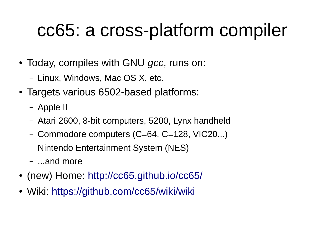# cc65: a cross-platform compiler

- Today, compiles with GNU *gcc*, runs on:
	- Linux, Windows, Mac OS X, etc.
- Targets various 6502-based platforms:
	- Apple II
	- Atari 2600, 8-bit computers, 5200, Lynx handheld
	- Commodore computers (C=64, C=128, VIC20...)
	- Nintendo Entertainment System (NES)
	- ...and more
- (new) Home: <http://cc65.github.io/cc65/>
- Wiki: <https://github.com/cc65/wiki/wiki>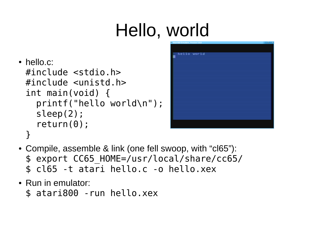# Hello, world

• hello.c: #include <stdio.h> #include <unistd.h> int main(void) { printf("hello world\n"); sleep(2); return(0); }



- Compile, assemble & link (one fell swoop, with "cl65"): \$ export CC65\_HOME=/usr/local/share/cc65/ \$ cl65 -t atari hello.c -o hello.xex
- Run in emulator:
	- \$ atari800 -run hello.xex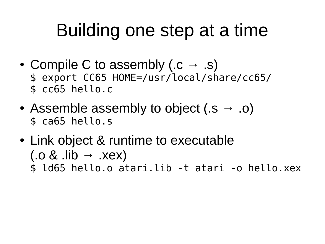## Building one step at a time

- Compile C to assembly (.c  $\rightarrow$  .s) \$ export CC65\_HOME=/usr/local/share/cc65/ \$ cc65 hello.c
- Assemble assembly to object  $(s \rightarrow .o)$ \$ ca65 hello.s
- Link object & runtime to executable  $(x \rightarrow x \rightarrow b)$ .) \$ ld65 hello.o atari.lib -t atari -o hello.xex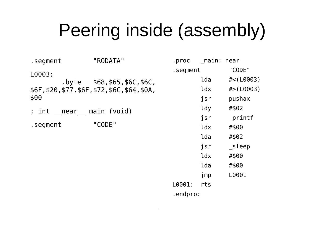## Peering inside (assembly)

| .segment                 | "RODATA"                                                                          | .proc          |
|--------------------------|-----------------------------------------------------------------------------------|----------------|
| L0003:<br>\$00           | $.$ byte $$68, $65, $6C, $6C,$<br>\$6F, \$20, \$77, \$6F, \$72, \$6C, \$64, \$0A, | .segm          |
| ; int  near  main (void) |                                                                                   |                |
| .segment                 | "CODE"                                                                            |                |
|                          |                                                                                   |                |
|                          |                                                                                   |                |
|                          |                                                                                   |                |
|                          |                                                                                   | L0001<br>.endp |

| .proc    | main: near |           |
|----------|------------|-----------|
| .segment |            | "CODE"    |
|          | lda        | #<(L0003) |
|          | ldx        | #>(L0003) |
|          | jsr        | pushax    |
|          | ldy        | #\$02     |
|          | jsr        | printf    |
|          | ldx        | #\$00     |
|          | lda        | #\$02     |
|          | jsr        | sleep     |
|          | ldx        | #\$00     |
|          | lda        | #\$00     |
|          | jmp        | L0001     |
| L0001:   | rts        |           |
| .endproc |            |           |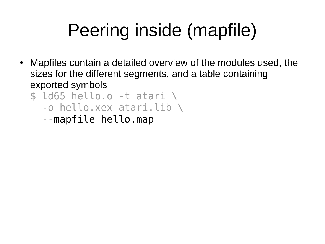# Peering inside (mapfile)

- Mapfiles contain a detailed overview of the modules used, the sizes for the different segments, and a table containing exported symbols
	- $$$ ld65 hello.o -t atari \ -o hello.xex atari.lib \
		- --mapfile hello.map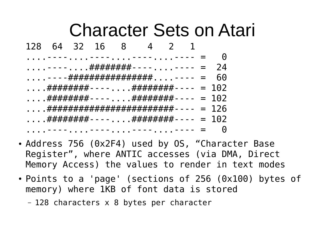#### Character Sets on Atari 128 64 32 16 8 4 2 1 . . . - - - - . . . . - - - . . . . - - - - . . . . - - - - = = ....----....######### ----....---- = 24 .....----################### ....---- = 60 ....#########----....######### ---- = 102 ....#########----....######### ---- = 102 ....*.########################## - - -* - = 126 ....########----....########---- = 102 ....----....----....----.....--- = 0

- Address 756 (0x2F4) used by OS, "Character Base Register", where ANTIC accesses (via DMA, Direct Memory Access) the values to render in text modes
- Points to a 'page' (sections of 256 (0x100) bytes of memory) where 1KB of font data is stored
	- 128 characters x 8 bytes per character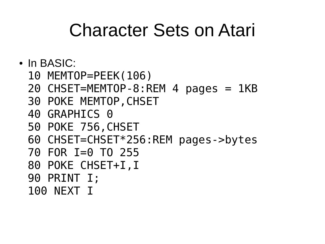#### Character Sets on Atari

- In BASIC:
	- 10 MEMTOP=PEEK(106)
	- 20 CHSET=MEMTOP-8:REM 4 pages = 1KB
	- 30 POKE MEMTOP,CHSET
	- 40 GRAPHICS 0
	- 50 POKE 756,CHSET
	- 60 CHSET=CHSET\*256:REM pages->bytes
	- 70 FOR I=0 TO 255
	- 80 POKE CHSET+I,I
	- 90 PRINT I;
	- 100 NEXT I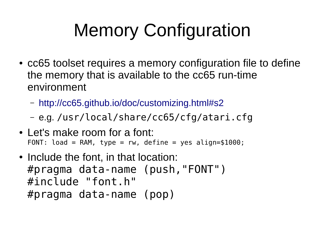# Memory Configuration

- cc65 toolset requires a memory configuration file to define the memory that is available to the cc65 run-time environment
	- <http://cc65.github.io/doc/customizing.html#s2>
	- e.g. /usr/local/share/cc65/cfg/atari.cfg
- Let's make room for a font: FONT: load = RAM, type =  $rw$ , define = yes align=\$1000;
- Include the font, in that location: #pragma data-name (push,"FONT") #include "font.h" #pragma data-name (pop)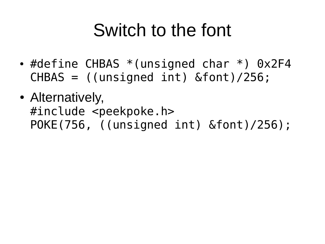### Switch to the font

- #define CHBAS  $*($ unsigned char  $*)$  0x2F4 CHBAS = ((unsigned int) &font)/256;
- Alternatively, #include <peekpoke.h> POKE(756, ((unsigned int) &font)/256);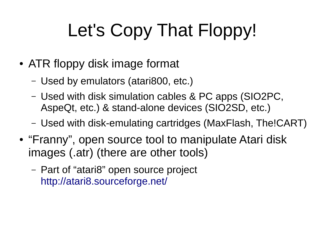# Let's Copy That Floppy!

- ATR floppy disk image format
	- Used by emulators (atari800, etc.)
	- Used with disk simulation cables & PC apps (SIO2PC, AspeQt, etc.) & stand-alone devices (SIO2SD, etc.)
	- Used with disk-emulating cartridges (MaxFlash, The!CART)
- "Franny", open source tool to manipulate Atari disk images (.atr) (there are other tools)
	- Part of "atari8" open source project <http://atari8.sourceforge.net/>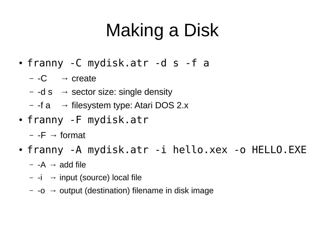# Making a Disk

- franny -C mydisk.atr -d s -f a
	- $-$  -C  $\rightarrow$  create
	- $-$  -d s  $\rightarrow$  sector size: single density
	- $-$  -f a  $\rightarrow$  filesystem type: Atari DOS 2.x
- franny -F mydisk.atr
	- $-$  -F  $\rightarrow$  format
- franny -A mydisk.atr -i hello.xex -o HELLO.EXE
	- $-$  -A  $\rightarrow$  add file
	- $-$  -i → input (source) local file
	- $\sim$  -o  $\rightarrow$  output (destination) filename in disk image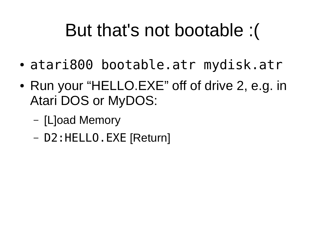## But that's not bootable :(

- atari800 bootable.atr mydisk.atr
- Run your "HELLO.EXE" off of drive 2, e.g. in Atari DOS or MyDOS:
	- [L]oad Memory
	- D2:HELLO.EXE [Return]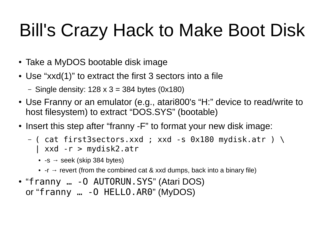# Bill's Crazy Hack to Make Boot Disk

- Take a MyDOS bootable disk image
- Use "xxd(1)" to extract the first 3 sectors into a file
	- Single density:  $128 \times 3 = 384$  bytes (0x180)
- Use Franny or an emulator (e.g., atari800's "H:" device to read/write to host filesystem) to extract "DOS.SYS" (bootable)
- Insert this step after "franny -F" to format your new disk image:
	- $-$  ( cat first3sectors.xxd ; xxd  $-$  s 0x180 mydisk.atr )  $\backslash$ | xxd -r > mydisk2.atr
		- $\bullet$  -s  $\rightarrow$  seek (skip 384 bytes)
		- -r  $\rightarrow$  revert (from the combined cat & xxd dumps, back into a binary file)
- "franny ... 0 AUTORUN.SYS" (Atari DOS) or "franny … -O HELLO.AR0" (MyDOS)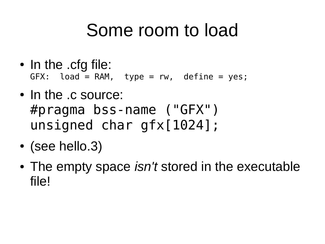### Some room to load

- In the .cfg file:  $GFX:$  load = RAM, type =  $rw$ , define = yes;
- In the .c source: #pragma bss-name ("GFX") unsigned char gfx[1024];
- $\bullet$  (see hello.3)
- The empty space *isn't* stored in the executable file!